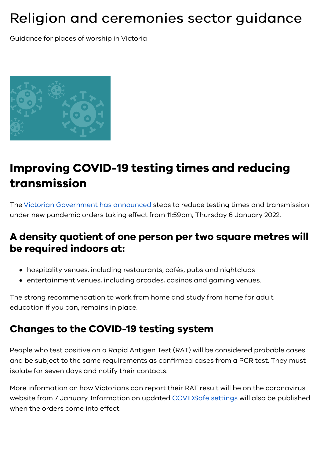# Religion and ceremonies sector guidance

Guidance for places of worship in Victoria



# **Improving COVID-19 testing times and reducing transmission**

The [Victorian Government has announced](https://www.premier.vic.gov.au/sensible-steps-reduce-testing-queues-and-transmission) steps to reduce testing times and transmission under new pandemic orders taking effect from 11:59pm, Thursday 6 January 2022.  

#### **A density quotient of one person per two square metres will be required indoors at:**

- hospitality venues, including restaurants, cafés, pubs and nightclubs
- entertainment venues, including arcades, casinos and gaming venues.

The strong recommendation to work from home and study from home for adult education if you can, remains in place.

#### **Changes to the COVID-19 testing system**

People who test positive on a Rapid Antigen Test (RAT) will be considered probable cases and be subject to the same requirements as confirmed cases from a PCR test. They must isolate for seven days and notify their contacts.

More information on how Victorians can report their RAT result will be on the coronavirus website from 7 January. Information on updated [COVIDSafe settings](https://www.coronavirus.vic.gov.au/how-we-work-current-restrictions) will also be published when the orders come into effect.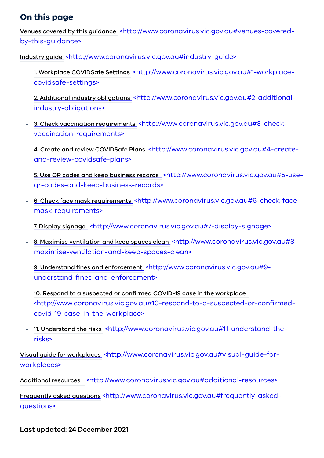#### **On this page**

Venues covered by this guidance [<http://www.coronavirus.vic.gov.au#venues-covered](#page-2-2)by-this-guidance>

Industry guide [<http://www.coronavirus.vic.gov.au#industry-guide>](#page-2-3)

- 1. Workplace COVIDSafe Settings [<http://www.coronavirus.vic.gov.au#1-workplace](#page-2-0)covidsafe-settings>
- L 2. Additional industry obligations [<http://www.coronavirus.vic.gov.au#2-additional](#page-2-1)industry-obligations>
- L 3. Check vaccination requirements [<http://www.coronavirus.vic.gov.au#3-check](#page-3-0)vaccination-requirements>
- L 4. Create and review COVIDSafe Plans [<http://www.coronavirus.vic.gov.au#4-create](#page-3-1)and-review-covidsafe-plans>
- **L** 5. Use QR codes and keep business records [<http://www.coronavirus.vic.gov.au#5-use](#page-3-2)qr-codes-and-keep-business-records>
- 6. Check face mask requirements [<http://www.coronavirus.vic.gov.au#6-check-face](#page-4-0)mask-requirements>
- 7. Display signage [<http://www.coronavirus.vic.gov.au#7-display-signage>](#page-4-1)
- L 8. Maximise ventilation and keep spaces clean <http://www.coronavirus.vic.gov.au#8[maximise-ventilation-and-keep-spaces-clean>](#page-4-2)
- 9. Understand fines and enforcement [<http://www.coronavirus.vic.gov.au#9](#page-4-3) understand-fines-and-enforcement>
- $\perp$  10. Respond to a suspected or confirmed COVID-19 case in the workplace [<http://www.coronavirus.vic.gov.au#10-respond-to-a-suspected-or-confirmed](#page-5-0)covid-19-case-in-the-workplace>
- L 11. Understand the risks [<http://www.coronavirus.vic.gov.au#11-understand-the](#page-5-1)risks>

Visual guide for workplaces [<http://www.coronavirus.vic.gov.au#visual-guide-for](#page-5-2)workplaces>

Additional resources [<http://www.coronavirus.vic.gov.au#additional-resources>](#page-5-3)

Frequently asked questions [<http://www.coronavirus.vic.gov.au#frequently-asked](#page-6-0)questions>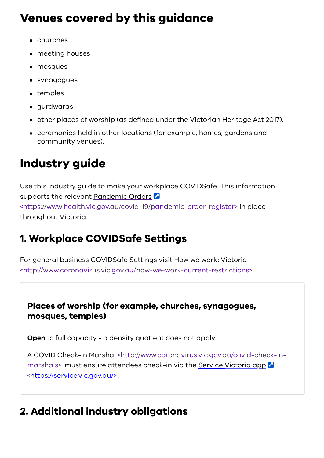## <span id="page-2-2"></span>**Venues covered by this guidance**

- churches
- meeting houses
- mosques
- synagogues
- temples
- gurdwaras
- other places of worship (as defined under the Victorian Heritage Act 2017).
- ceremonies held in other locations (for example, homes, gardens and community venues).

# <span id="page-2-3"></span>**Industry guide**

Use this industry guide to make your workplace COVIDSafe. This information supports the relevant Pandemic Orders 2 [<https://www.health.vic.gov.au/covid-19/pandemic-order-register>](https://www.health.vic.gov.au/covid-19/pandemic-order-register) in place throughout Victoria.

## <span id="page-2-0"></span>**1. Workplace COVIDSafe Settings**

For general business COVIDSafe Settings visit How we work: Victoria [<http://www.coronavirus.vic.gov.au/how-we-work-current-restrictions>](https://www.coronavirus.vic.gov.au/how-we-work-current-restrictions)

#### **Places of worship (for example, churches, synagogues, mosques, temples)**

**Open** to full capacity - a density quotient does not apply

[A COVID Check-in Marshal <http://www.coronavirus.vic.gov.au/covid-check-in](https://www.coronavirus.vic.gov.au/covid-check-in-marshals)[marshals> must ensure attendees check-in via the Service](https://service.vic.gov.au/) Victoria app 2 <https://service.vic.gov.au/> .

## <span id="page-2-1"></span>**2. Additional industry obligations**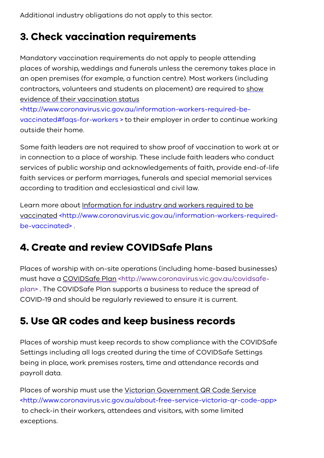Additional industry obligations do not apply to this sector.

#### <span id="page-3-0"></span>**3. Check vaccination requirements**

Mandatory vaccination requirements do not apply to people attending places of worship, weddings and funerals unless the ceremony takes place in an open premises (for example, a function centre). Most workers (including [contractors, volunteers and students on placement\) are required to show](https://www.coronavirus.vic.gov.au/information-workers-required-be-vaccinated#faqs-for-workers%20) evidence of their vaccination status

<http://www.coronavirus.vic.gov.au/information-workers-required-bevaccinated#faqs-for-workers > to their employer in order to continue working outside their home.

Some faith leaders are not required to show proof of vaccination to work at or in connection to a place of worship. These include faith leaders who conduct services of public worship and acknowledgements of faith, provide end-of-life faith services or perform marriages, funerals and special memorial services according to tradition and ecclesiastical and civil law.

Learn more about Information for industry and workers required to be [vaccinated <http://www.coronavirus.vic.gov.au/information-workers-required](https://www.coronavirus.vic.gov.au/information-workers-required-be-vaccinated)be-vaccinated> .

#### <span id="page-3-1"></span>**4. Create and review COVIDSafe Plans**

Places of worship with on-site operations (including home-based businesses) [must have a COVIDSafe Plan <http://www.coronavirus.vic.gov.au/covidsafe](https://www.coronavirus.vic.gov.au/covidsafe-plan)plan> . The COVIDSafe Plan supports a business to reduce the spread of COVID-19 and should be regularly reviewed to ensure it is current.

#### <span id="page-3-2"></span>**5. Use QR codes and keep business records**

Places of worship must keep records to show compliance with the COVIDSafe Settings including all logs created during the time of COVIDSafe Settings being in place, work premises rosters, time and attendance records and payroll data.

Places of worship must use the Victorian Government QR Code Service [<http://www.coronavirus.vic.gov.au/about-free-service-victoria-qr-code-app>](https://www.coronavirus.vic.gov.au/about-free-service-victoria-qr-code-app) to check-in their workers, attendees and visitors, with some limited exceptions.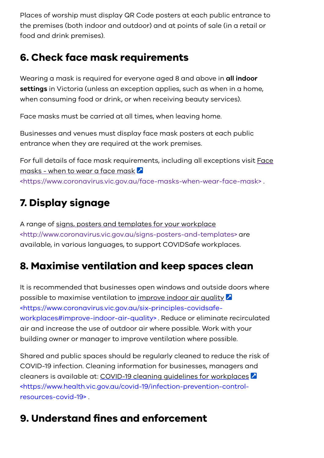Places of worship must display QR Code posters at each public entrance to the premises (both indoor and outdoor) and at points of sale (in a retail or food and drink premises).

#### <span id="page-4-0"></span>**6. Check face mask requirements**

Wearing a mask is required for everyone aged 8 and above in **all indoor settings** in Victoria (unless an exception applies, such as when in a home, when consuming food or drink, or when receiving beauty services).

Face masks must be carried at all times, when leaving home.

Businesses and venues must display face mask posters at each public entrance when they are required at the work premises.

[For full details of face mask requirements, including all exceptions visit Face](https://www.coronavirus.vic.gov.au/face-masks-when-wear-face-mask) masks - when to wear a face mask 2 <https://www.coronavirus.vic.gov.au/face-masks-when-wear-face-mask> .

#### <span id="page-4-1"></span>**7. Display signage**

A range of signs, posters and templates for your workplace [<http://www.coronavirus.vic.gov.au/signs-posters-and-templates> a](https://www.coronavirus.vic.gov.au/signs-posters-and-templates)re available, in various languages, to support COVIDSafe workplaces.

#### <span id="page-4-2"></span>**8. Maximise ventilation and keep spaces clean**

It is recommended that businesses open windows and outside doors where possible to maximise ventilation to improve indoor air quality  $\Delta$ <https://www.coronavirus.vic.gov.au/six-principles-covidsafe[workplaces#improve-indoor-air-quality> . Reduce or eliminate r](https://www.coronavirus.vic.gov.au/six-principles-covidsafe-workplaces#improve-indoor-air-quality)ecirculated air and increase the use of outdoor air where possible. Work with your building owner or manager to improve ventilation where possible.

Shared and public spaces should be regularly cleaned to reduce the risk of COVID-19 infection. Cleaning information for businesses, managers and cleaners is available at: COVID-19 cleaning guidelines for workplaces [<https://www.health.vic.gov.au/covid-19/infection-prevention-control](https://www.health.vic.gov.au/covid-19/infection-prevention-control-resources-covid-19)resources-covid-19> .

## <span id="page-4-3"></span>**9. Understand fines and enforcement**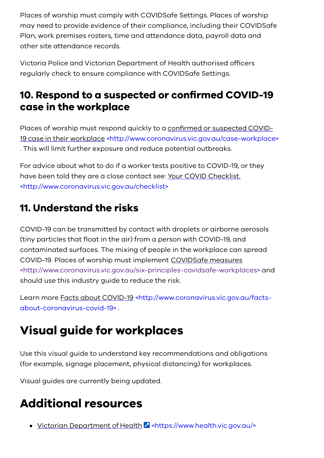Places of worship must comply with COVIDSafe Settings. Places of worship may need to provide evidence of their compliance, including their COVIDSafe Plan, work premises rosters, time and attendance data, payroll data and other site attendance records.

Victoria Police and Victorian Department of Health authorised officers regularly check to ensure compliance with COVIDSafe Settings.

#### <span id="page-5-0"></span>**10. Respond to a suspected or confirmed COVID-19 case in the workplace**

Places of worship must respond quickly to a confirmed or suspected COVID-19 case [in their workplace <http://www.coronavirus.vic.gov.au/case-workplace>](https://www.coronavirus.vic.gov.au/case-workplace) . This will limit further exposure and reduce potential outbreaks.

For advice about what to do if a worker tests positive to COVID-19, or they [have been told they are a close contact see: Your COVID Checklist.](https://www.coronavirus.vic.gov.au/checklist) <http://www.coronavirus.vic.gov.au/checklist>

#### <span id="page-5-1"></span>**11. Understand the risks**

COVID-19 can be transmitted by contact with droplets or airborne aerosols (tiny particles that float in the air) from a person with COVID-19, and contaminated surfaces. The mixing of people in the workplace can spread COVID-19. Places of worship must implement COVIDSafe measures [<http://www.coronavirus.vic.gov.au/six-principles-covidsafe-workplaces>](https://www.coronavirus.vic.gov.au/six-principles-covidsafe-workplaces) and should use this industry guide to reduce the risk.

[Learn more Facts about COVID-19 <http://www.coronavirus.vic.gov.au/facts](https://www.coronavirus.vic.gov.au/facts-about-coronavirus-covid-19)about-coronavirus-covid-19> .

# <span id="page-5-2"></span>**Visual guide for workplaces**

Use this visual guide to understand key recommendations and obligations (for example, signage placement, physical distancing) for workplaces.

Visual guides are currently being updated.

## <span id="page-5-3"></span>**Additional resources**

• Victorian Department of Health 2 <https://www.health.vic.gov.gu/>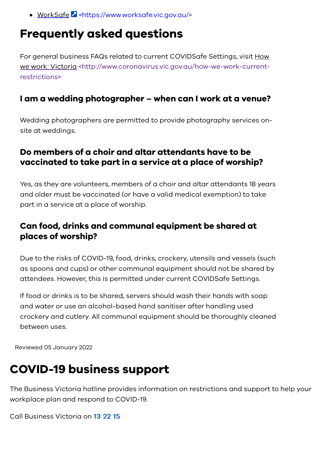• WorkSafe **Z** <https://www.worksafe.vic.gov.au/>

#### <span id="page-6-0"></span>**Frequently asked questions**

For general business FAQs related to current COVIDSafe Settings, visit How [we work: Victoria <http://www.coronavirus.vic.gov.au/how-we-work-current](https://www.coronavirus.vic.gov.au/how-we-work-current-restrictions)restrictions>

#### **I am a wedding photographer – when can I work at a venue?**

Wedding photographers are permitted to provide photography services onsite at weddings.

#### **Do members of a choir and altar attendants have to be vaccinated to take part in a service at a place of worship?**

Yes, as they are volunteers, members of a choir and altar attendants 18 years and older must be vaccinated (or have a valid medical exemption) to take part in a service at a place of worship.

#### **Can food, drinks and communal equipment be shared at places of worship?**

Due to the risks of COVID-19, food, drinks, crockery, utensils and vessels (such as spoons and cups) or other communal equipment should not be shared by attendees. However, this is permitted under current COVIDSafe Settings.

If food or drinks is to be shared, servers should wash their hands with soap and water or use an alcohol-based hand sanitiser after handling used crockery and cutlery. All communal equipment should be thoroughly cleaned between uses.

Reviewed 05 January 2022

## **COVID-19 business support**

The Business Victoria hotline provides information on restrictions and support to help your workplace plan and respond to COVID-19.

Call Business Victoria on [13 22 15](tel:132215)